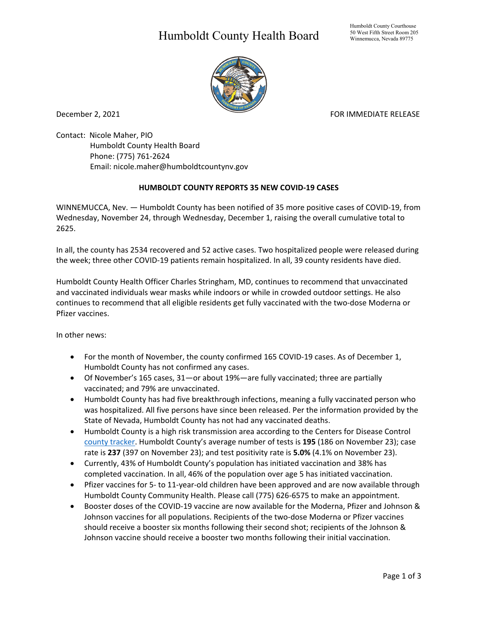## Humboldt County Health Board



December 2, 2021 **FOR IMMEDIATE RELEASE** 

Contact: Nicole Maher, PIO Humboldt County Health Board Phone: (775) 761-2624 Email: nicole.maher@humboldtcountynv.gov

## **HUMBOLDT COUNTY REPORTS 35 NEW COVID-19 CASES**

WINNEMUCCA, Nev. — Humboldt County has been notified of 35 more positive cases of COVID-19, from Wednesday, November 24, through Wednesday, December 1, raising the overall cumulative total to 2625.

In all, the county has 2534 recovered and 52 active cases. Two hospitalized people were released during the week; three other COVID-19 patients remain hospitalized. In all, 39 county residents have died.

Humboldt County Health Officer Charles Stringham, MD, continues to recommend that unvaccinated and vaccinated individuals wear masks while indoors or while in crowded outdoor settings. He also continues to recommend that all eligible residents get fully vaccinated with the two-dose Moderna or Pfizer vaccines.

In other news:

- For the month of November, the county confirmed 165 COVID-19 cases. As of December 1, Humboldt County has not confirmed any cases.
- Of November's 165 cases, 31—or about 19%—are fully vaccinated; three are partially vaccinated; and 79% are unvaccinated.
- Humboldt County has had five breakthrough infections, meaning a fully vaccinated person who was hospitalized. All five persons have since been released. Per the information provided by the State of Nevada, Humboldt County has not had any vaccinated deaths.
- Humboldt County is a high risk transmission area according to the Centers for Disease Control [county tracker.](https://covid.cdc.gov/covid-data-tracker/#county-view) Humboldt County's average number of tests is **195** (186 on November 23); case rate is **237** (397 on November 23); and test positivity rate is **5.0%** (4.1% on November 23).
- Currently, 43% of Humboldt County's population has initiated vaccination and 38% has completed vaccination. In all, 46% of the population over age 5 has initiated vaccination.
- Pfizer vaccines for 5- to 11-year-old children have been approved and are now available through Humboldt County Community Health. Please call (775) 626-6575 to make an appointment.
- Booster doses of the COVID-19 vaccine are now available for the Moderna, Pfizer and Johnson & Johnson vaccines for all populations. Recipients of the two-dose Moderna or Pfizer vaccines should receive a booster six months following their second shot; recipients of the Johnson & Johnson vaccine should receive a booster two months following their initial vaccination.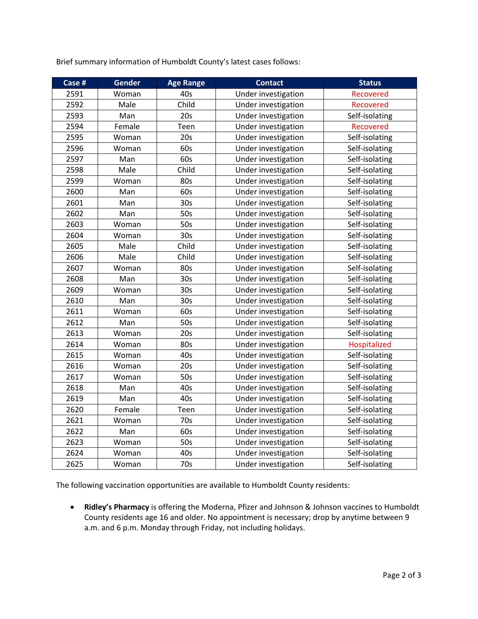| Case # | Gender | <b>Age Range</b> | <b>Contact</b>      | <b>Status</b>  |
|--------|--------|------------------|---------------------|----------------|
| 2591   | Woman  | 40s              | Under investigation | Recovered      |
| 2592   | Male   | Child            | Under investigation | Recovered      |
| 2593   | Man    | 20s              | Under investigation | Self-isolating |
| 2594   | Female | Teen             | Under investigation | Recovered      |
| 2595   | Woman  | 20s              | Under investigation | Self-isolating |
| 2596   | Woman  | 60s              | Under investigation | Self-isolating |
| 2597   | Man    | 60s              | Under investigation | Self-isolating |
| 2598   | Male   | Child            | Under investigation | Self-isolating |
| 2599   | Woman  | 80s              | Under investigation | Self-isolating |
| 2600   | Man    | 60s              | Under investigation | Self-isolating |
| 2601   | Man    | 30 <sub>s</sub>  | Under investigation | Self-isolating |
| 2602   | Man    | 50s              | Under investigation | Self-isolating |
| 2603   | Woman  | 50s              | Under investigation | Self-isolating |
| 2604   | Woman  | 30s              | Under investigation | Self-isolating |
| 2605   | Male   | Child            | Under investigation | Self-isolating |
| 2606   | Male   | Child            | Under investigation | Self-isolating |
| 2607   | Woman  | 80s              | Under investigation | Self-isolating |
| 2608   | Man    | 30s              | Under investigation | Self-isolating |
| 2609   | Woman  | 30 <sub>s</sub>  | Under investigation | Self-isolating |
| 2610   | Man    | 30 <sub>s</sub>  | Under investigation | Self-isolating |
| 2611   | Woman  | 60s              | Under investigation | Self-isolating |
| 2612   | Man    | 50s              | Under investigation | Self-isolating |
| 2613   | Woman  | 20s              | Under investigation | Self-isolating |
| 2614   | Woman  | 80s              | Under investigation | Hospitalized   |
| 2615   | Woman  | 40s              | Under investigation | Self-isolating |
| 2616   | Woman  | 20s              | Under investigation | Self-isolating |
| 2617   | Woman  | 50s              | Under investigation | Self-isolating |
| 2618   | Man    | 40s              | Under investigation | Self-isolating |
| 2619   | Man    | 40s              | Under investigation | Self-isolating |
| 2620   | Female | Teen             | Under investigation | Self-isolating |
| 2621   | Woman  | 70s              | Under investigation | Self-isolating |
| 2622   | Man    | 60s              | Under investigation | Self-isolating |
| 2623   | Woman  | 50s              | Under investigation | Self-isolating |
| 2624   | Woman  | 40s              | Under investigation | Self-isolating |
| 2625   | Woman  | 70s              | Under investigation | Self-isolating |

The following vaccination opportunities are available to Humboldt County residents:

• **Ridley's Pharmacy** is offering the Moderna, Pfizer and Johnson & Johnson vaccines to Humboldt County residents age 16 and older. No appointment is necessary; drop by anytime between 9 a.m. and 6 p.m. Monday through Friday, not including holidays.